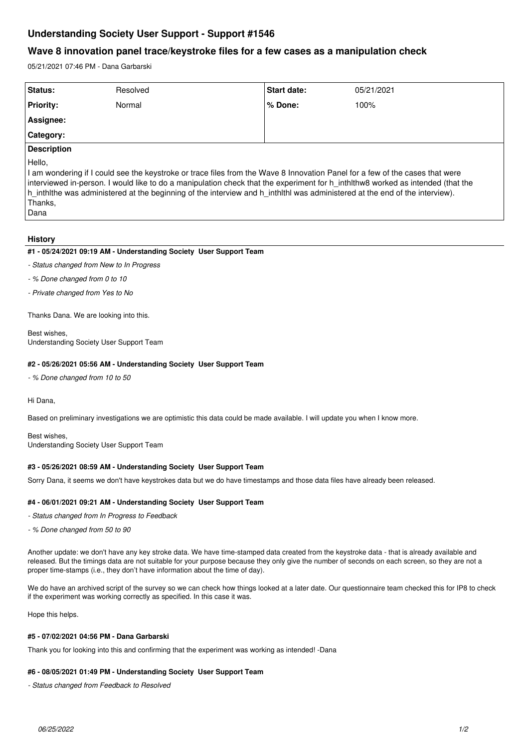# **Understanding Society User Support - Support #1546**

# **Wave 8 innovation panel trace/keystroke files for a few cases as a manipulation check**

05/21/2021 07:46 PM - Dana Garbarski

| Status:                                                                                                                                                                                                                                                                                                                                                                  | Resolved | <b>Start date:</b> | 05/21/2021 |
|--------------------------------------------------------------------------------------------------------------------------------------------------------------------------------------------------------------------------------------------------------------------------------------------------------------------------------------------------------------------------|----------|--------------------|------------|
| <b>Priority:</b>                                                                                                                                                                                                                                                                                                                                                         | Normal   | % Done:            | 100%       |
| Assignee:                                                                                                                                                                                                                                                                                                                                                                |          |                    |            |
| <b>Category:</b>                                                                                                                                                                                                                                                                                                                                                         |          |                    |            |
| <b>Description</b>                                                                                                                                                                                                                                                                                                                                                       |          |                    |            |
| Hello,<br>I am wondering if I could see the keystroke or trace files from the Wave 8 Innovation Panel for a few of the cases that were<br>literation of the property to contact the compositor in the character of contribution in the basic of contracted and contracted at the contracted and the contracted at the contracted and contracted at the contracted at the |          |                    |            |

interviewed in-person. I would like to do a manipulation check that the experiment for h\_inthlthw8 worked as intended (that the h\_inthlthe was administered at the beginning of the interview and h\_inthlthl was administered at the end of the interview). Thanks,

Dana

## **History**

#### **#1 - 05/24/2021 09:19 AM - Understanding Society User Support Team**

*- Status changed from New to In Progress*

*- % Done changed from 0 to 10*

*- Private changed from Yes to No*

Thanks Dana. We are looking into this.

Best wishes, Understanding Society User Support Team

#### **#2 - 05/26/2021 05:56 AM - Understanding Society User Support Team**

*- % Done changed from 10 to 50*

Hi Dana,

Based on preliminary investigations we are optimistic this data could be made available. I will update you when I know more.

Best wishes, Understanding Society User Support Team

## **#3 - 05/26/2021 08:59 AM - Understanding Society User Support Team**

Sorry Dana, it seems we don't have keystrokes data but we do have timestamps and those data files have already been released.

#### **#4 - 06/01/2021 09:21 AM - Understanding Society User Support Team**

*- Status changed from In Progress to Feedback*

*- % Done changed from 50 to 90*

Another update: we don't have any key stroke data. We have time-stamped data created from the keystroke data - that is already available and released. But the timings data are not suitable for your purpose because they only give the number of seconds on each screen, so they are not a proper time-stamps (i.e., they don't have information about the time of day).

We do have an archived script of the survey so we can check how things looked at a later date. Our questionnaire team checked this for IP8 to check if the experiment was working correctly as specified. In this case it was.

Hope this helps.

#### **#5 - 07/02/2021 04:56 PM - Dana Garbarski**

Thank you for looking into this and confirming that the experiment was working as intended! -Dana

#### **#6 - 08/05/2021 01:49 PM - Understanding Society User Support Team**

*- Status changed from Feedback to Resolved*